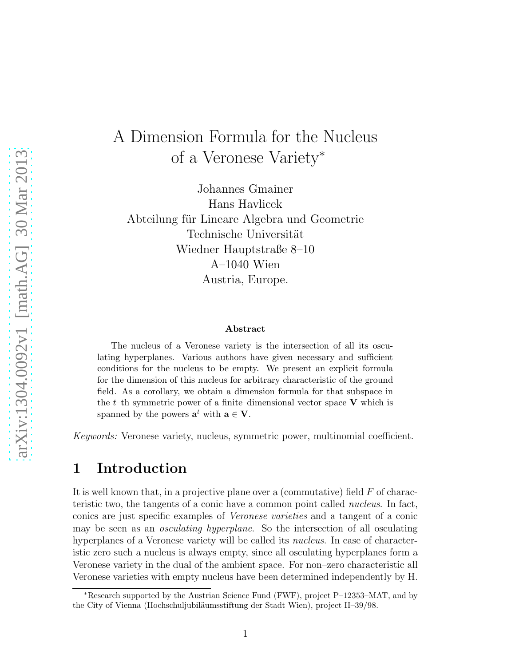# A Dimension Formula for the Nucleus of a Veronese Variety<sup>∗</sup>

Johannes Gmainer Hans Havlicek Abteilung für Lineare Algebra und Geometrie Technische Universität Wiedner Hauptstraße 8–10 A–1040 Wien Austria, Europe.

#### Abstract

The nucleus of a Veronese variety is the intersection of all its osculating hyperplanes. Various authors have given necessary and sufficient conditions for the nucleus to be empty. We present an explicit formula for the dimension of this nucleus for arbitrary characteristic of the ground field. As a corollary, we obtain a dimension formula for that subspace in the  $t$ –th symmetric power of a finite–dimensional vector space V which is spanned by the powers  $\mathbf{a}^t$  with  $\mathbf{a} \in \mathbf{V}$ .

Keywords: Veronese variety, nucleus, symmetric power, multinomial coefficient.

## 1 Introduction

It is well known that, in a projective plane over a (commutative) field  $F$  of characteristic two, the tangents of a conic have a common point called nucleus. In fact, conics are just specific examples of Veronese varieties and a tangent of a conic may be seen as an *osculating hyperplane*. So the intersection of all osculating hyperplanes of a Veronese variety will be called its *nucleus*. In case of characteristic zero such a nucleus is always empty, since all osculating hyperplanes form a Veronese variety in the dual of the ambient space. For non–zero characteristic all Veronese varieties with empty nucleus have been determined independently by H.

<sup>∗</sup>Research supported by the Austrian Science Fund (FWF), project P–12353–MAT, and by the City of Vienna (Hochschuljubil¨aumsstiftung der Stadt Wien), project H–39/98.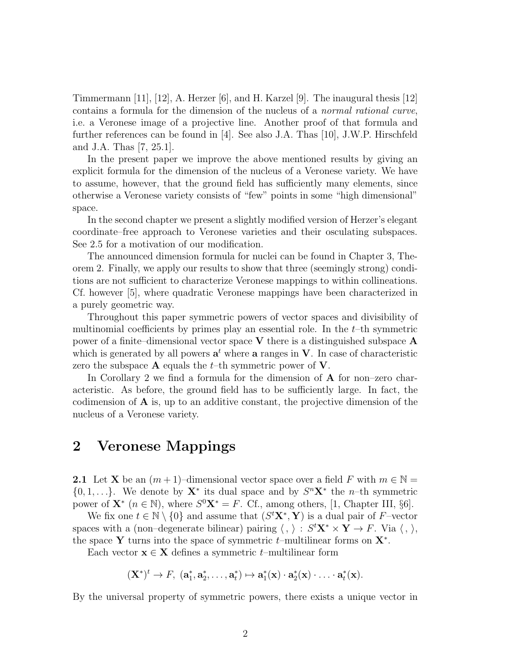Timmermann [11], [12], A. Herzer [6], and H. Karzel [9]. The inaugural thesis [12] contains a formula for the dimension of the nucleus of a normal rational curve, i.e. a Veronese image of a projective line. Another proof of that formula and further references can be found in [4]. See also J.A. Thas [10], J.W.P. Hirschfeld and J.A. Thas [7, 25.1].

In the present paper we improve the above mentioned results by giving an explicit formula for the dimension of the nucleus of a Veronese variety. We have to assume, however, that the ground field has sufficiently many elements, since otherwise a Veronese variety consists of "few" points in some "high dimensional" space.

In the second chapter we present a slightly modified version of Herzer's elegant coordinate–free approach to Veronese varieties and their osculating subspaces. See 2.5 for a motivation of our modification.

The announced dimension formula for nuclei can be found in Chapter 3, Theorem 2. Finally, we apply our results to show that three (seemingly strong) conditions are not sufficient to characterize Veronese mappings to within collineations. Cf. however [5], where quadratic Veronese mappings have been characterized in a purely geometric way.

Throughout this paper symmetric powers of vector spaces and divisibility of multinomial coefficients by primes play an essential role. In the  $t$ -th symmetric power of a finite–dimensional vector space  $V$  there is a distinguished subspace  $A$ which is generated by all powers  $\mathbf{a}^t$  where  $\mathbf{a}$  ranges in  $\mathbf{V}$ . In case of characteristic zero the subspace  $A$  equals the t–th symmetric power of  $V$ .

In Corollary 2 we find a formula for the dimension of A for non–zero characteristic. As before, the ground field has to be sufficiently large. In fact, the codimension of A is, up to an additive constant, the projective dimension of the nucleus of a Veronese variety.

## 2 Veronese Mappings

2.1 Let X be an  $(m+1)$ –dimensional vector space over a field F with  $m \in \mathbb{N}$  $\{0, 1, \ldots\}$ . We denote by  $\mathbf{X}^*$  its dual space and by  $S^n\mathbf{X}^*$  the *n*-th symmetric power of  $\mathbf{X}^*$   $(n \in \mathbb{N})$ , where  $S^0 \mathbf{X}^* = F$ . Cf., among others, [1, Chapter III, §6].

We fix one  $t \in \mathbb{N} \setminus \{0\}$  and assume that  $(S<sup>t</sup>X<sup>*</sup>, Y)$  is a dual pair of F-vector spaces with a (non–degenerate bilinear) pairing  $\langle , \rangle : S^t \mathbf{X}^* \times \mathbf{Y} \to F$ . Via  $\langle , \rangle$ , the space Y turns into the space of symmetric  $t$ –multilinear forms on  $\mathbf{X}^*$ .

Each vector  $\mathbf{x} \in \mathbf{X}$  defines a symmetric t–multilinear form

 $(X^*)^t \to F$ ,  $(a_1^*)$  $_{1}^{*}$ ,  $a_{2}^{*}$  $x_2^*,\ldots,\mathbf{a}_t^*$  $t^*_t) \mapsto \mathbf{a}_1^*$  $a_1^*(\mathbf{x}) \cdot \mathbf{a}_2^*$  $a_2^*(\mathbf{x}) \cdot \ldots \cdot \mathbf{a}_t^*$  $^*_t(\mathbf{x}).$ 

By the universal property of symmetric powers, there exists a unique vector in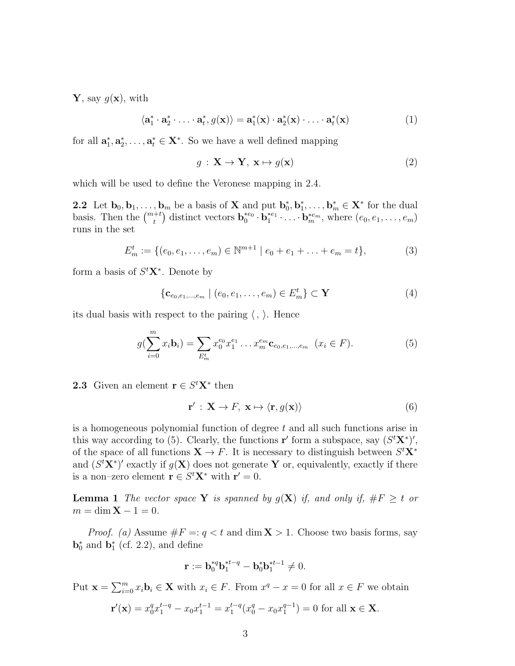**Y**, say  $q(\mathbf{x})$ , with

$$
\langle \mathbf{a}_1^* \cdot \mathbf{a}_2^* \cdot \ldots \cdot \mathbf{a}_t^*, g(\mathbf{x}) \rangle = \mathbf{a}_1^*(\mathbf{x}) \cdot \mathbf{a}_2^*(\mathbf{x}) \cdot \ldots \cdot \mathbf{a}_t^*(\mathbf{x}) \tag{1}
$$

for all  $\mathbf{a}_1^*$  $_{1}^{*}$ ,  $a_{2}^{*}$  $x_2^*, \ldots, \mathbf{a}_t^* \in \mathbf{X}^*$ . So we have a well defined mapping

$$
g: \mathbf{X} \to \mathbf{Y}, \mathbf{x} \mapsto g(\mathbf{x}) \tag{2}
$$

which will be used to define the Veronese mapping in 2.4.

**2.2** Let  $\mathbf{b}_0, \mathbf{b}_1, \ldots, \mathbf{b}_m$  be a basis of **X** and put  $\mathbf{b}_0^*$  $_{0}^{\ast},$   $\mathbf{b}_{1}^{\ast}$  $\mathbf{b}_1^*, \ldots, \mathbf{b}_m^* \in \mathbf{X}^*$  for the dual basis. Then the  $\binom{m+t}{t}$  distinct vectors  $\mathbf{b}_0^{*e_0}$  $b_0^{*e_0} \cdot \mathbf{b}_1^{*e_1}$  $e_1^{*e_1} \cdot \ldots \cdot \mathbf{b}_m^{*e_m}$ , where  $(e_0, e_1, \ldots, e_m)$ runs in the set

$$
E_m^t := \{ (e_0, e_1, \dots, e_m) \in \mathbb{N}^{m+1} \mid e_0 + e_1 + \dots + e_m = t \},\tag{3}
$$

form a basis of  $S<sup>t</sup>X<sup>*</sup>$ . Denote by

$$
\{ \mathbf{c}_{e_0, e_1, \dots, e_m} \mid (e_0, e_1, \dots, e_m) \in E_m^t \} \subset \mathbf{Y}
$$
 (4)

its dual basis with respect to the pairing  $\langle , \rangle$ . Hence

$$
g(\sum_{i=0}^{m} x_i \mathbf{b}_i) = \sum_{E_m^t} x_0^{e_0} x_1^{e_1} \dots x_m^{e_m} \mathbf{c}_{e_0, e_1, \dots, e_m} \quad (x_i \in F).
$$
 (5)

**2.3** Given an element  $\mathbf{r} \in S^t \mathbf{X}^*$  then

$$
\mathbf{r}' : \mathbf{X} \to F, \ \mathbf{x} \mapsto \langle \mathbf{r}, g(\mathbf{x}) \rangle \tag{6}
$$

is a homogeneous polynomial function of degree t and all such functions arise in this way according to (5). Clearly, the functions r' form a subspace, say  $(S<sup>t</sup> X<sup>*</sup>)'$ , of the space of all functions  $X \to F$ . It is necessary to distinguish between  $S<sup>t</sup>X<sup>*</sup>$ and  $(S<sup>t</sup>X<sup>*</sup>)'$  exactly if  $g(X)$  does not generate Y or, equivalently, exactly if there is a non–zero element  $\mathbf{r} \in S^t \mathbf{X}^*$  with  $\mathbf{r}' = 0$ .

**Lemma 1** The vector space Y is spanned by  $g(X)$  if, and only if,  $\#F \geq t$  or  $m = \dim X - 1 = 0.$ 

*Proof.* (a) Assume  $\#F =: q < t$  and  $\dim X > 1$ . Choose two basis forms, say  $\mathbf{b}_0^*$  and  $\mathbf{b}_1^*$  $_1^*$  (cf. 2.2), and define

$$
\mathbf{r} := \mathbf{b}_0^{*q} \mathbf{b}_1^{*t-q} - \mathbf{b}_0^* \mathbf{b}_1^{*t-1} \neq 0.
$$

Put  $\mathbf{x} = \sum_{i=0}^{m} x_i \mathbf{b}_i \in \mathbf{X}$  with  $x_i \in F$ . From  $x^q - x = 0$  for all  $x \in F$  we obtain

$$
\mathbf{r}'(\mathbf{x}) = x_0^q x_1^{t-q} - x_0 x_1^{t-1} = x_1^{t-q} (x_0^q - x_0 x_1^{q-1}) = 0 \text{ for all } \mathbf{x} \in \mathbf{X}.
$$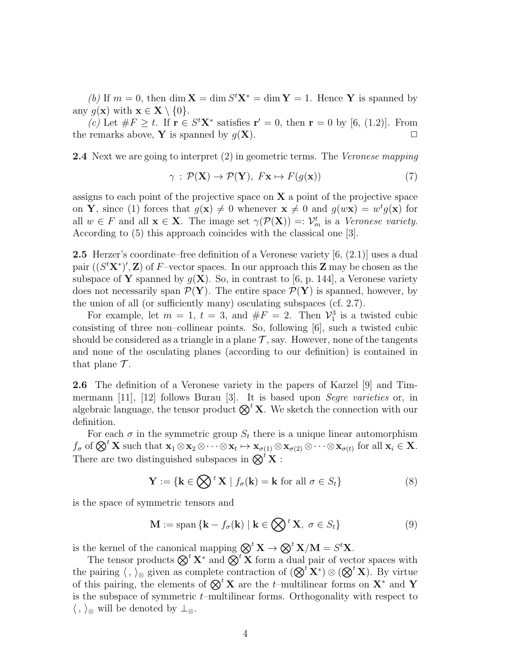(b) If  $m = 0$ , then dim  $X = \dim S^t X^* = \dim Y = 1$ . Hence Y is spanned by any  $g(\mathbf{x})$  with  $\mathbf{x} \in \mathbf{X} \setminus \{0\}$ .

(c) Let  $\#F \geq t$ . If  $\mathbf{r} \in S^t \mathbf{X}^*$  satisfies  $\mathbf{r}' = 0$ , then  $\mathbf{r} = 0$  by [6, (1.2)]. From the remarks above, Y is spanned by  $q(X)$ .

2.4 Next we are going to interpret (2) in geometric terms. The Veronese mapping

$$
\gamma : \mathcal{P}(\mathbf{X}) \to \mathcal{P}(\mathbf{Y}), \ F\mathbf{x} \mapsto F(g(\mathbf{x})) \tag{7}
$$

assigns to each point of the projective space on  $X$  a point of the projective space on Y, since (1) forces that  $g(x) \neq 0$  whenever  $x \neq 0$  and  $g(wx) = w^t g(x)$  for all  $w \in F$  and all  $\mathbf{x} \in \mathbf{X}$ . The image set  $\gamma(\mathcal{P}(\mathbf{X})) = \mathcal{V}_m^t$  is a *Veronese variety*. According to (5) this approach coincides with the classical one [3].

2.5 Herzer's coordinate–free definition of a Veronese variety [6, (2.1)] uses a dual pair  $((S<sup>t</sup>X<sup>*</sup>)', Z)$  of F-vector spaces. In our approach this Z may be chosen as the subspace of Y spanned by  $q(X)$ . So, in contrast to [6, p. 144], a Veronese variety does not necessarily span  $\mathcal{P}(Y)$ . The entire space  $\mathcal{P}(Y)$  is spanned, however, by the union of all (or sufficiently many) osculating subspaces (cf. 2.7).

For example, let  $m = 1$ ,  $t = 3$ , and  $\#F = 2$ . Then  $\mathcal{V}_1^3$  is a twisted cubic consisting of three non–collinear points. So, following [6], such a twisted cubic should be considered as a triangle in a plane  $\mathcal{T}$ , say. However, none of the tangents and none of the osculating planes (according to our definition) is contained in that plane  $\mathcal{T}$ .

2.6 The definition of a Veronese variety in the papers of Karzel [9] and Timmermann [11], [12] follows Burau [3]. It is based upon *Segre varieties* or, in algebraic language, the tensor product  $\mathbb{Q}^t X$ . We sketch the connection with our definition.

For each  $\sigma$  in the symmetric group  $S_t$  there is a unique linear automorphism  $f_{\sigma}$  of  $\bigotimes^{t} \mathbf{X}$  such that  $\mathbf{x}_{1} \otimes \mathbf{x}_{2} \otimes \cdots \otimes \mathbf{x}_{t} \mapsto \mathbf{x}_{\sigma(1)} \otimes \mathbf{x}_{\sigma(2)} \otimes \cdots \otimes \mathbf{x}_{\sigma(t)}$  for all  $\mathbf{x}_{i} \in \mathbf{X}$ . There are two distinguished subspaces in  $\mathbb{Q}^t \mathbf{X}$ :

$$
\mathbf{Y} := \{ \mathbf{k} \in \bigotimes^t \mathbf{X} \mid f_{\sigma}(\mathbf{k}) = \mathbf{k} \text{ for all } \sigma \in S_t \}
$$
 (8)

is the space of symmetric tensors and

$$
\mathbf{M} := \text{span}\left\{ \mathbf{k} - f_{\sigma}(\mathbf{k}) \mid \mathbf{k} \in \bigotimes^{t} \mathbf{X}, \ \sigma \in S_{t} \right\}
$$
(9)

is the kernel of the canonical mapping  $\bigotimes^t X \to \bigotimes^t X/M = S^t X$ .

The tensor products  $\mathbb{Q}^t \mathbf{X}^*$  and  $\mathbb{Q}^t \mathbf{X}$  form a dual pair of vector spaces with the pairing  $\langle , \rangle_{\otimes}$  given as complete contraction of  $(\otimes^t X^*) \otimes (\otimes^t X)$ . By virtue of this pairing, the elements of  $\mathbb{Q}^t \mathbf{X}$  are the t–multilinear forms on  $\mathbf{X}^*$  and  $\mathbf{Y}$ is the subspace of symmetric  $t$ –multilinear forms. Orthogonality with respect to  $\langle , \rangle_{\otimes}$  will be denoted by  $\perp_{\otimes}$ .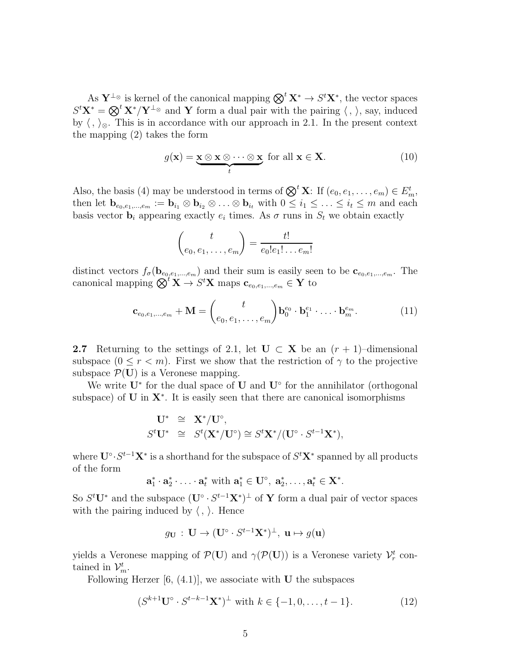As  $\mathbf{Y}^{\perp_{\otimes}}$  is kernel of the canonical mapping  $\bigotimes^{t} \mathbf{X}^{*} \to S^{t} \mathbf{X}^{*}$ , the vector spaces  $S<sup>t</sup>X<sup>*</sup> = \bigotimes^{t} X^*/Y^{\perp_{\otimes}}$  and Y form a dual pair with the pairing  $\langle , \rangle$ , say, induced by  $\langle , \rangle_{\otimes}$ . This is in accordance with our approach in 2.1. In the present context the mapping (2) takes the form

$$
g(\mathbf{x}) = \underbrace{\mathbf{x} \otimes \mathbf{x} \otimes \cdots \otimes \mathbf{x}}_{t} \text{ for all } \mathbf{x} \in \mathbf{X}.
$$
 (10)

Also, the basis (4) may be understood in terms of  $\bigotimes^{t} \mathbf{X}$ : If  $(e_0, e_1, \ldots, e_m) \in E_m^t$ , then let  $\mathbf{b}_{e_0,e_1,...,e_m} := \mathbf{b}_{i_1} \otimes \mathbf{b}_{i_2} \otimes ... \otimes \mathbf{b}_{i_t}$  with  $0 \leq i_1 \leq ... \leq i_t \leq m$  and each basis vector  $\mathbf{b}_i$  appearing exactly  $e_i$  times. As  $\sigma$  runs in  $S_t$  we obtain exactly

$$
\binom{t}{e_0, e_1, \dots, e_m} = \frac{t!}{e_0! e_1! \dots e_m!}
$$

distinct vectors  $f_{\sigma}(\mathbf{b}_{e_0,e_1,...,e_m})$  and their sum is easily seen to be  $\mathbf{c}_{e_0,e_1,...,e_m}$ . The canonical mapping  $\bigotimes^t \mathbf{X} \to S^t \mathbf{X}$  maps  $\mathbf{c}_{e_0,e_1,...,e_m} \in \mathbf{Y}$  to

$$
\mathbf{c}_{e_0,e_1,...,e_m} + \mathbf{M} = \binom{t}{e_0,e_1,\ldots,e_m} \mathbf{b}_0^{e_0} \cdot \mathbf{b}_1^{e_1} \cdot \ldots \cdot \mathbf{b}_m^{e_m}.
$$
 (11)

2.7 Returning to the settings of 2.1, let  $\mathbf{U} \subset \mathbf{X}$  be an  $(r + 1)$ –dimensional subspace  $(0 \le r \le m)$ . First we show that the restriction of  $\gamma$  to the projective subspace  $\mathcal{P}(\mathbf{U})$  is a Veronese mapping.

We write  $U^*$  for the dual space of U and  $U^{\circ}$  for the annihilator (orthogonal subspace) of  $U$  in  $X^*$ . It is easily seen that there are canonical isomorphisms

$$
\begin{array}{rcl}\n\mathbf{U}^* & \cong & \mathbf{X}^*/\mathbf{U}^\circ, \\
\mathbf{S}^t \mathbf{U}^* & \cong & \mathbf{S}^t(\mathbf{X}^*/\mathbf{U}^\circ) \cong \mathbf{S}^t \mathbf{X}^*/(\mathbf{U}^\circ \cdot \mathbf{S}^{t-1} \mathbf{X}^*),\n\end{array}
$$

where  $\mathbf{U}^{\circ} \cdot S^{t-1} \mathbf{X}^*$  is a shorthand for the subspace of  $S^t \mathbf{X}^*$  spanned by all products of the form

$$
\mathbf{a}_1^* \cdot \mathbf{a}_2^* \cdot \ldots \cdot \mathbf{a}_t^* \text{ with } \mathbf{a}_1^* \in \mathbf{U}^\circ, \ \mathbf{a}_2^*, \ldots, \mathbf{a}_t^* \in \mathbf{X}^*.
$$

So  $S<sup>t</sup>U<sup>*</sup>$  and the subspace  $(U<sup>°</sup> \cdot S<sup>t-1</sup>X<sup>*</sup>)<sup>\perp</sup>$  of Y form a dual pair of vector spaces with the pairing induced by  $\langle , \rangle$ . Hence

$$
g_{\mathbf{U}}\,:\,\mathbf{U}\rightarrow(\mathbf{U}^{\circ}\cdot S^{t-1}\mathbf{X}^*)^{\perp},\,\,\mathbf{u}\mapsto g(\mathbf{u})
$$

yields a Veronese mapping of  $\mathcal{P}(\mathbf{U})$  and  $\gamma(\mathcal{P}(\mathbf{U}))$  is a Veronese variety  $\mathcal{V}_r^t$  contained in  $\mathcal{V}_m^t$ .

Following Herzer  $[6, (4.1)]$ , we associate with **U** the subspaces

$$
(S^{k+1}U^{\circ} \cdot S^{t-k-1}X^*)^{\perp} \text{ with } k \in \{-1, 0, \dots, t-1\}. \tag{12}
$$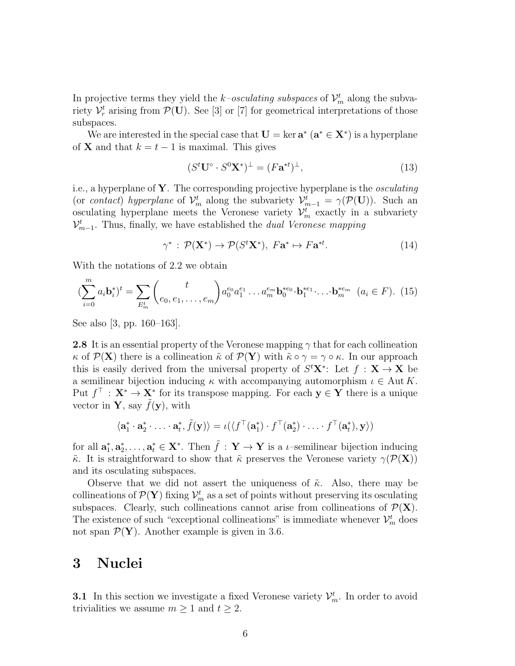In projective terms they yield the *k*-osculating subspaces of  $\mathcal{V}_m^t$  along the subvariety  $\mathcal{V}_r^t$  arising from  $\mathcal{P}(\mathbf{U})$ . See [3] or [7] for geometrical interpretations of those subspaces.

We are interested in the special case that  $\mathbf{U} = \ker \mathbf{a}^* \ (\mathbf{a}^* \in \mathbf{X}^*)$  is a hyperplane of **X** and that  $k = t - 1$  is maximal. This gives

$$
(St \mathbf{U}^{\circ} \cdot S0 \mathbf{X}^*)^{\perp} = (F \mathbf{a}^{*t})^{\perp}, \tag{13}
$$

i.e., a hyperplane of  $Y$ . The corresponding projective hyperplane is the *osculating* (or *contact*) hyperplane of  $\mathcal{V}_m^t$  along the subvariety  $\mathcal{V}_{m-1}^t = \gamma(\mathcal{P}(\mathbf{U}))$ . Such an osculating hyperplane meets the Veronese variety  $\mathcal{V}_m^t$  exactly in a subvariety  $\mathcal{V}^{t}_{m-1}$ . Thus, finally, we have established the *dual Veronese mapping* 

$$
\gamma^* : \mathcal{P}(\mathbf{X}^*) \to \mathcal{P}(S^t \mathbf{X}^*), \ F\mathbf{a}^* \mapsto F\mathbf{a}^{*t}.\tag{14}
$$

With the notations of 2.2 we obtain

$$
\left(\sum_{i=0}^{m} a_{i} \mathbf{b}_{i}^{*}\right)^{t} = \sum_{E_{m}^{t}} \binom{t}{e_{0}, e_{1}, \dots, e_{m}} a_{0}^{e_{0}} a_{1}^{e_{1}} \dots a_{m}^{e_{m}} \mathbf{b}_{0}^{*e_{0}} \cdot \mathbf{b}_{1}^{*e_{1}} \dots \cdot \mathbf{b}_{m}^{*e_{m}} \quad (a_{i} \in F). \tag{15}
$$

See also [3, pp. 160–163].

**2.8** It is an essential property of the Veronese mapping  $\gamma$  that for each collineation  $\kappa$  of  $\mathcal{P}(\mathbf{X})$  there is a collineation  $\tilde{\kappa}$  of  $\mathcal{P}(\mathbf{Y})$  with  $\tilde{\kappa} \circ \gamma = \gamma \circ \kappa$ . In our approach this is easily derived from the universal property of  $S<sup>t</sup>X<sup>*</sup>$ : Let  $f : X \to X$  be a semilinear bijection inducing  $\kappa$  with accompanying automorphism  $\iota \in \text{Aut } K$ . Put  $f^{\top}$ :  $X^* \to X^*$  for its transpose mapping. For each  $y \in Y$  there is a unique vector in **Y**, say  $\tilde{f}(\mathbf{y})$ , with

$$
\langle \mathbf{a}_1^* \cdot \mathbf{a}_2^* \cdot \ldots \cdot \mathbf{a}_t^*, \tilde{f}(\mathbf{y}) \rangle = \iota(\langle f^{\top}(\mathbf{a}_1^*) \cdot f^{\top}(\mathbf{a}_2^*) \cdot \ldots \cdot f^{\top}(\mathbf{a}_t^*), \mathbf{y} \rangle)
$$

for all  $\mathbf{a}_1^*$  $_{1}^{*},\mathbf{a}_{2}^{*}$  $\mathbf{z}_2^*, \ldots, \mathbf{a}_t^* \in \mathbf{X}^*$ . Then  $\tilde{f}: \mathbf{Y} \to \mathbf{Y}$  is a *t*-semilinear bijection inducing  $\tilde{\kappa}$ . It is straightforward to show that  $\tilde{\kappa}$  preserves the Veronese variety  $\gamma(\mathcal{P}(\mathbf{X}))$ and its osculating subspaces.

Observe that we did not assert the uniqueness of  $\tilde{\kappa}$ . Also, there may be collineations of  $\mathcal{P}(\mathbf{Y})$  fixing  $\mathcal{V}_m^t$  as a set of points without preserving its osculating subspaces. Clearly, such collineations cannot arise from collineations of  $\mathcal{P}(\mathbf{X})$ . The existence of such "exceptional collineations" is immediate whenever  $\mathcal{V}_m^t$  does not span  $\mathcal{P}(\mathbf{Y})$ . Another example is given in 3.6.

#### 3 Nuclei

**3.1** In this section we investigate a fixed Veronese variety  $\mathcal{V}_m^t$ . In order to avoid trivialities we assume  $m \geq 1$  and  $t \geq 2$ .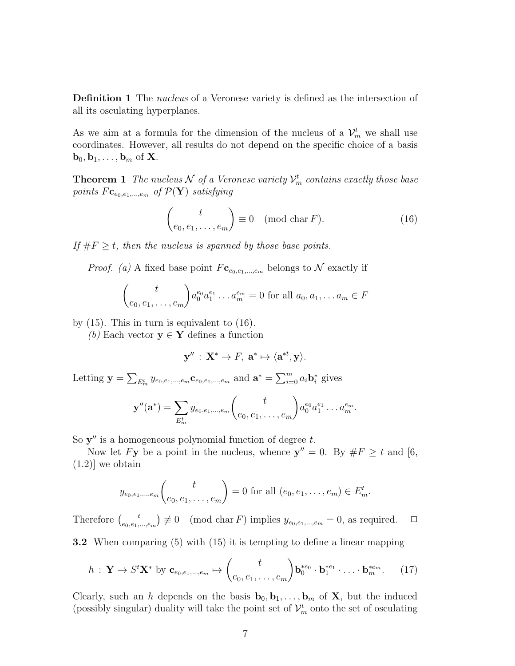**Definition 1** The *nucleus* of a Veronese variety is defined as the intersection of all its osculating hyperplanes.

As we aim at a formula for the dimension of the nucleus of a  $\mathcal{V}_m^t$  we shall use coordinates. However, all results do not depend on the specific choice of a basis  $\mathbf{b}_0, \mathbf{b}_1, \ldots, \mathbf{b}_m$  of **X**.

**Theorem 1** The nucleus  $N$  of a Veronese variety  $\mathcal{V}_m^t$  contains exactly those base points  $F_{\mathbf{c}_{e_0,e_1,...,e_m}}$  of  $\mathcal{P}(\mathbf{Y})$  satisfying

$$
\begin{pmatrix} t \\ e_0, e_1, \dots, e_m \end{pmatrix} \equiv 0 \pmod{\text{char } F}.
$$
 (16)

If  $\#F \geq t$ , then the nucleus is spanned by those base points.

*Proof.* (a) A fixed base point  $F_{\mathbf{c}_{e_0,e_1,\dots,e_m}}$  belongs to N exactly if

$$
\binom{t}{e_0, e_1, \dots, e_m} a_0^{e_0} a_1^{e_1} \dots a_m^{e_m} = 0 \text{ for all } a_0, a_1, \dots a_m \in F
$$

by (15). This in turn is equivalent to (16).

(b) Each vector  $y \in Y$  defines a function

$$
\mathbf{y}'' \,:\, \mathbf{X}^* \to F, \; \mathbf{a}^* \mapsto \langle \mathbf{a}^{*t}, \mathbf{y} \rangle.
$$

Letting  $y = \sum_{E_m^t} y_{e_0, e_1, ..., e_m} c_{e_0, e_1, ..., e_m}$  and  $\mathbf{a}^* = \sum_{i=0}^m a_i \mathbf{b}_i^*$ i gives

$$
\mathbf{y}''(\mathbf{a}^*) = \sum_{E_m^t} y_{e_0, e_1, \dots, e_m} {t \choose e_0, e_1, \dots, e_m} a_0^{e_0} a_1^{e_1} \dots a_m^{e_m}.
$$

So  $y''$  is a homogeneous polynomial function of degree  $t$ .

Now let Fy be a point in the nucleus, whence  $y'' = 0$ . By  $\#F \ge t$  and [6,  $(1.2)$ ] we obtain

$$
y_{e_0,e_1,...,e_m}
$$
 $\binom{t}{e_0,e_1,...,e_m} = 0$  for all  $(e_0,e_1,...,e_m) \in E_m^t$ .

Therefore  $\int_{\epsilon_0} t$  $(e_{0},e_{1},...,e_{m}) \not\equiv 0 \pmod{\text{char } F}$  implies  $y_{e_{0},e_{1},...,e_{m}} = 0$ , as required.  $\Box$ 

3.2 When comparing (5) with (15) it is tempting to define a linear mapping

$$
h: \mathbf{Y} \to S^t \mathbf{X}^* \text{ by } \mathbf{c}_{e_0, e_1, \dots, e_m} \mapsto {t \choose e_0, e_1, \dots, e_m} \mathbf{b}_0^{*e_0} \cdot \mathbf{b}_1^{*e_1} \cdot \dots \cdot \mathbf{b}_m^{*e_m}.
$$
 (17)

Clearly, such an h depends on the basis  $\mathbf{b}_0, \mathbf{b}_1, \ldots, \mathbf{b}_m$  of **X**, but the induced (possibly singular) duality will take the point set of  $\mathcal{V}_m^t$  onto the set of osculating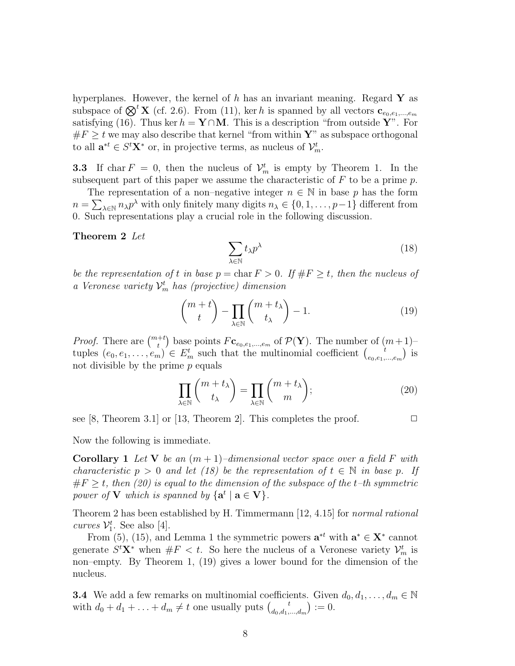hyperplanes. However, the kernel of h has an invariant meaning. Regard  $\mathbf{Y}$  as subspace of  $\mathcal{D}^t \mathbf{X}$  (cf. 2.6). From (11), ker h is spanned by all vectors  $\mathbf{c}_{e_0,e_1,...,e_m}$ satisfying (16). Thus ker  $h = Y \cap M$ . This is a description "from outside Y". For  $\#F \geq t$  we may also describe that kernel "from within Y" as subspace orthogonal to all  $\mathbf{a}^{*t} \in S^t \mathbf{X}^*$  or, in projective terms, as nucleus of  $\mathcal{V}_m^t$ .

**3.3** If char  $F = 0$ , then the nucleus of  $\mathcal{V}_m^t$  is empty by Theorem 1. In the subsequent part of this paper we assume the characteristic of  $F$  to be a prime  $p$ .

The representation of a non–negative integer  $n \in \mathbb{N}$  in base p has the form  $n = \sum_{\lambda \in \mathbb{N}} n_{\lambda} p^{\lambda}$  with only finitely many digits  $n_{\lambda} \in \{0, 1, \dots, p-1\}$  different from 0. Such representations play a crucial role in the following discussion.

Theorem 2 Let

$$
\sum_{\lambda \in \mathbb{N}} t_{\lambda} p^{\lambda} \tag{18}
$$

be the representation of t in base  $p = \text{char } F > 0$ . If  $\#F \geq t$ , then the nucleus of a Veronese variety  $\mathcal{V}_m^t$  has (projective) dimension

$$
\binom{m+t}{t} - \prod_{\lambda \in \mathbb{N}} \binom{m+t_{\lambda}}{t_{\lambda}} - 1. \tag{19}
$$

*Proof.* There are  $\binom{m+t}{t}$  base points  $F_{\mathbf{c}_{e_0,e_1,\dots,e_m}}$  of  $\mathcal{P}(\mathbf{Y})$ . The number of  $(m+1)$ tuples  $(e_0, e_1, \ldots, e_m) \in E_m^t$  such that the multinomial coefficient  $\begin{pmatrix} i \\ e_0, e_1, \ldots, e_m \end{pmatrix}$  $\begin{bmatrix} t \\ e_0, e_1, \ldots, e_m \end{bmatrix}$  is not divisible by the prime  $p$  equals

$$
\prod_{\lambda \in \mathbb{N}} \binom{m + t_{\lambda}}{t_{\lambda}} = \prod_{\lambda \in \mathbb{N}} \binom{m + t_{\lambda}}{m};\tag{20}
$$

see [8, Theorem 3.1] or [13, Theorem 2]. This completes the proof.  $\Box$ 

Now the following is immediate.

**Corollary 1** Let **V** be an  $(m + 1)$ –dimensional vector space over a field F with characteristic  $p > 0$  and let (18) be the representation of  $t \in \mathbb{N}$  in base p. If  $#F > t$ , then (20) is equal to the dimension of the subspace of the t-th symmetric power of **V** which is spanned by  $\{a^t | a \in V\}$ .

Theorem 2 has been established by H. Timmermann [12, 4.15] for normal rational curves  $\mathcal{V}_1^t$ . See also [4].

From (5), (15), and Lemma 1 the symmetric powers  $\mathbf{a}^{*t}$  with  $\mathbf{a}^* \in \mathbf{X}^*$  cannot generate  $S<sup>t</sup>X<sup>*</sup>$  when  $#F < t$ . So here the nucleus of a Veronese variety  $\mathcal{V}_m^t$  is non–empty. By Theorem 1, (19) gives a lower bound for the dimension of the nucleus.

**3.4** We add a few remarks on multinomial coefficients. Given  $d_0, d_1, \ldots, d_m \in \mathbb{N}$ with  $d_0 + d_1 + \ldots + d_m \neq t$  one usually puts  $\begin{pmatrix} t \\ d_0, d_1 \end{pmatrix}$  $\binom{t}{d_0, d_1, ..., d_m} := 0.$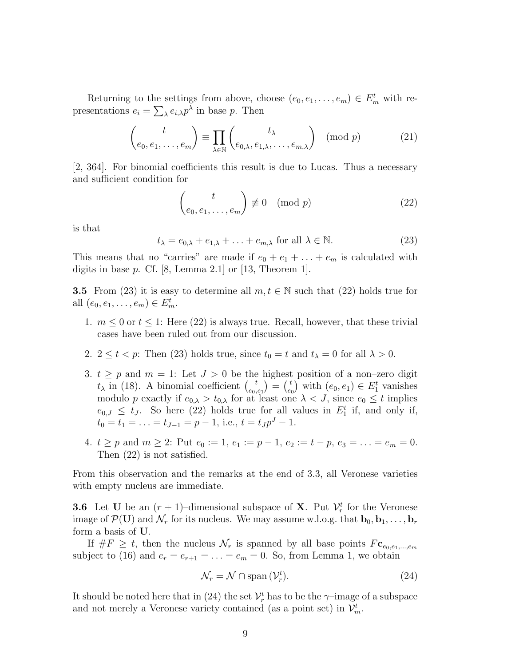Returning to the settings from above, choose  $(e_0, e_1, \ldots, e_m) \in E_m^t$  with representations  $e_i = \sum_{\lambda} e_{i,\lambda} p^{\lambda}$  in base p. Then

$$
\begin{pmatrix} t \ e_0, e_1, \dots, e_m \end{pmatrix} \equiv \prod_{\lambda \in \mathbb{N}} \begin{pmatrix} t_{\lambda} \ e_{0,\lambda}, e_{1,\lambda}, \dots, e_{m,\lambda} \end{pmatrix} \pmod{p} \tag{21}
$$

[2, 364]. For binomial coefficients this result is due to Lucas. Thus a necessary and sufficient condition for

$$
\begin{pmatrix} t \\ e_0, e_1, \dots, e_m \end{pmatrix} \not\equiv 0 \pmod{p} \tag{22}
$$

is that

$$
t_{\lambda} = e_{0,\lambda} + e_{1,\lambda} + \ldots + e_{m,\lambda} \text{ for all } \lambda \in \mathbb{N}.
$$
 (23)

This means that no "carries" are made if  $e_0 + e_1 + \ldots + e_m$  is calculated with digits in base  $p$ . Cf. [8, Lemma 2.1] or [13, Theorem 1].

**3.5** From (23) it is easy to determine all  $m, t \in \mathbb{N}$  such that (22) holds true for all  $(e_0, e_1, \ldots, e_m) \in E_m^t$ .

- 1.  $m \leq 0$  or  $t \leq 1$ : Here (22) is always true. Recall, however, that these trivial cases have been ruled out from our discussion.
- 2.  $2 \le t < p$ : Then (23) holds true, since  $t_0 = t$  and  $t_\lambda = 0$  for all  $\lambda > 0$ .
- 3.  $t \geq p$  and  $m = 1$ : Let  $J > 0$  be the highest position of a non-zero digit  $t_{\lambda}$  in (18). A binomial coefficient  $\begin{pmatrix} t \\ e_0 \end{pmatrix}$  $\binom{t}{e_0,e_1}$  =  $\binom{t}{e_0}$  $(e_0, e_1) \in E_1^t$  vanishes modulo p exactly if  $e_{0,\lambda} > t_{0,\lambda}$  for at least one  $\lambda < J$ , since  $e_0 \leq t$  implies  $e_{0,J} \leq t_J$ . So here (22) holds true for all values in  $E_1^t$  if, and only if,  $t_0 = t_1 = \ldots = t_{J-1} = p-1$ , i.e.,  $t = t_J p^J - 1$ .
- 4.  $t \ge p$  and  $m \ge 2$ : Put  $e_0 := 1$ ,  $e_1 := p 1$ ,  $e_2 := t p$ ,  $e_3 = \ldots = e_m = 0$ . Then (22) is not satisfied.

From this observation and the remarks at the end of 3.3, all Veronese varieties with empty nucleus are immediate.

**3.6** Let U be an  $(r + 1)$ -dimensional subspace of **X**. Put  $\mathcal{V}_r^t$  for the Veronese image of  $\mathcal{P}(\mathbf{U})$  and  $\mathcal{N}_r$  for its nucleus. We may assume w.l.o.g. that  $\mathbf{b}_0, \mathbf{b}_1, \ldots, \mathbf{b}_r$ form a basis of U.

If  $\#F \geq t$ , then the nucleus  $\mathcal{N}_r$  is spanned by all base points  $F_{\mathbf{c}_{e_0,e_1,...,e_m}}$ subject to (16) and  $e_r = e_{r+1} = \ldots = e_m = 0$ . So, from Lemma 1, we obtain

$$
\mathcal{N}_r = \mathcal{N} \cap \text{span}\left(\mathcal{V}_r^t\right). \tag{24}
$$

It should be noted here that in (24) the set  $\mathcal{V}_r^t$  has to be the  $\gamma$ -image of a subspace and not merely a Veronese variety contained (as a point set) in  $\mathcal{V}_m^t$ .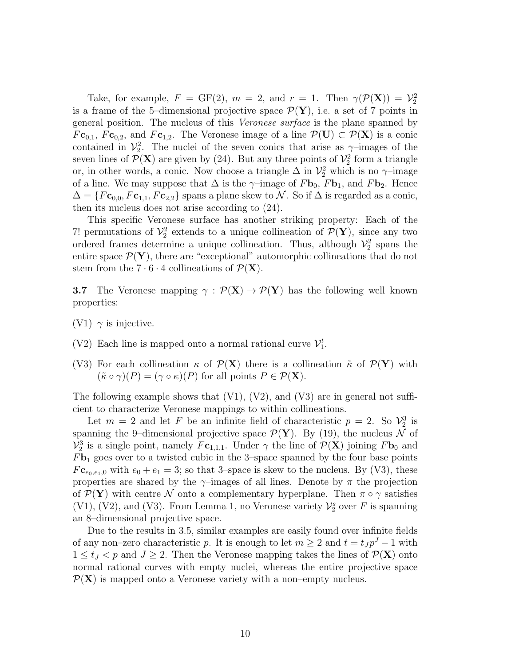Take, for example,  $F = GF(2)$ ,  $m = 2$ , and  $r = 1$ . Then  $\gamma(\mathcal{P}(\mathbf{X})) = \mathcal{V}_2^2$ is a frame of the 5-dimensional projective space  $\mathcal{P}(\mathbf{Y})$ , i.e. a set of 7 points in general position. The nucleus of this Veronese surface is the plane spanned by  $Fc_{0,1}, FC_{0,2}$ , and  $Fc_{1,2}$ . The Veronese image of a line  $\mathcal{P}(\mathbf{U}) \subset \mathcal{P}(\mathbf{X})$  is a conic contained in  $\mathcal{V}_2^2$ . The nuclei of the seven conics that arise as  $\gamma$ -images of the seven lines of  $\mathcal{P}(\mathbf{X})$  are given by (24). But any three points of  $\mathcal{V}_2^2$  form a triangle or, in other words, a conic. Now choose a triangle  $\Delta$  in  $\mathcal{V}_2^2$  which is no  $\gamma$ -image of a line. We may suppose that  $\Delta$  is the  $\gamma$ –image of  $F\mathbf{b}_0$ ,  $F\mathbf{b}_1$ , and  $F\mathbf{b}_2$ . Hence  $\Delta = \{F\mathbf{c}_{0,0}, F\mathbf{c}_{1,1}, F\mathbf{c}_{2,2}\}\$  spans a plane skew to  $\mathcal{N}$ . So if  $\Delta$  is regarded as a conic, then its nucleus does not arise according to (24).

This specific Veronese surface has another striking property: Each of the 7! permutations of  $\mathcal{V}_2^2$  extends to a unique collineation of  $\mathcal{P}(\mathbf{Y})$ , since any two ordered frames determine a unique collineation. Thus, although  $\mathcal{V}_2^2$  spans the entire space  $\mathcal{P}(\mathbf{Y})$ , there are "exceptional" automorphic collineations that do not stem from the  $7 \cdot 6 \cdot 4$  collineations of  $\mathcal{P}(\mathbf{X})$ .

**3.7** The Veronese mapping  $\gamma : \mathcal{P}(\mathbf{X}) \to \mathcal{P}(\mathbf{Y})$  has the following well known properties:

- (V1)  $\gamma$  is injective.
- (V2) Each line is mapped onto a normal rational curve  $\mathcal{V}_1^t$ .
- (V3) For each collineation  $\kappa$  of  $\mathcal{P}(\mathbf{X})$  there is a collineation  $\tilde{\kappa}$  of  $\mathcal{P}(\mathbf{Y})$  with  $(\tilde{\kappa} \circ \gamma)(P) = (\gamma \circ \kappa)(P)$  for all points  $P \in \mathcal{P}(\mathbf{X})$ .

The following example shows that  $(V1)$ ,  $(V2)$ , and  $(V3)$  are in general not sufficient to characterize Veronese mappings to within collineations.

Let  $m = 2$  and let F be an infinite field of characteristic  $p = 2$ . So  $\mathcal{V}_2^3$  is spanning the 9-dimensional projective space  $\mathcal{P}(\mathbf{Y})$ . By (19), the nucleus N of  $\mathcal{V}_2^3$  is a single point, namely  $F_{c_{1,1,1}}$ . Under  $\gamma$  the line of  $\mathcal{P}(\mathbf{X})$  joining  $F_{c_0}$  and  $F_{\mathbf{b}_1}$  goes over to a twisted cubic in the 3–space spanned by the four base points  $Fc_{e_0,e_1,0}$  with  $e_0 + e_1 = 3$ ; so that 3-space is skew to the nucleus. By (V3), these properties are shared by the  $\gamma$ –images of all lines. Denote by  $\pi$  the projection of  $\mathcal{P}(\mathbf{Y})$  with centre N onto a complementary hyperplane. Then  $\pi \circ \gamma$  satisfies (V1), (V2), and (V3). From Lemma 1, no Veronese variety  $\mathcal{V}_2^s$  over F is spanning an 8–dimensional projective space.

Due to the results in 3.5, similar examples are easily found over infinite fields of any non–zero characteristic p. It is enough to let  $m \geq 2$  and  $t = t_J p^J - 1$  with  $1 \le t_j < p$  and  $J \ge 2$ . Then the Veronese mapping takes the lines of  $\mathcal{P}(\mathbf{X})$  onto normal rational curves with empty nuclei, whereas the entire projective space  $P(X)$  is mapped onto a Veronese variety with a non–empty nucleus.